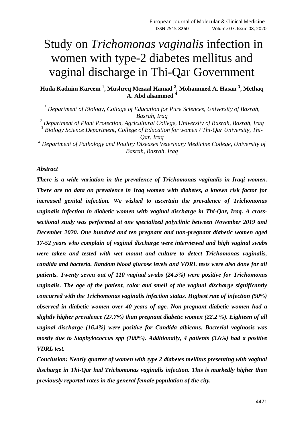# Study on *Trichomonas vaginalis* infection in women with type-2 diabetes mellitus and vaginal discharge in Thi-Qar Government

**Huda Kaduim Kareem <sup>1</sup> , Mushreq Mezaal Hamad <sup>2</sup> , Mohammed A. Hasan <sup>3</sup> , Methaq A. Abd alsammed <sup>4</sup>**

*<sup>1</sup> Department of Biology, Collage of Education for Pure Sciences, University of Basrah, Basrah, Iraq*

*<sup>2</sup> Department of Plant Protection, Agricultural College, University of Basrah, Basrah, Iraq*

*3 Biology Science Department, College of Education for women / Thi-Qar University, Thi-Qar, Iraq*

*<sup>4</sup> Department of Pathology and Poultry Diseases Veterinary Medicine College, University of Basrah, Basrah, Iraq*

#### *Abstract*

*There is a wide variation in the prevalence of Trichomonas vaginalis in Iraqi women. There are no data on prevalence in Iraq women with diabetes, a known risk factor for increased genital infection. We wished to ascertain the prevalence of Trichomonas vaginalis infection in diabetic women with vaginal discharge in Thi-Qar, Iraq. A crosssectional study was performed at one specialized polyclinic between November 2019 and December 2020. One hundred and ten pregnant and non-pregnant diabetic women aged 17-52 years who complain of vaginal discharge were interviewed and high vaginal swabs were taken and tested with wet mount and culture to detect Trichomonas vaginalis, candida and bacteria. Random blood glucose levels and VDRL tests were also done for all patients. Twenty seven out of 110 vaginal swabs (24.5%) were positive for Trichomonas vaginalis. The age of the patient, color and smell of the vaginal discharge significantly concurred with the Trichomonas vaginalis infection status. Highest rate of infection (50%) observed in diabetic women over 40 years of age. Non-pregnant diabetic women had a slightly higher prevalence (27.7%) than pregnant diabetic women (22.2 %). Eighteen of all vaginal discharge (16.4%) were positive for Candida albicans. Bacterial vaginosis was mostly due to Staphylococcus spp (100%). Additionally, 4 patients (3.6%) had a positive VDRL test.*

*Conclusion: Nearly quarter of women with type 2 diabetes mellitus presenting with vaginal discharge in Thi-Qar had Trichomonas vaginalis infection. This is markedly higher than previously reported rates in the general female population of the city.*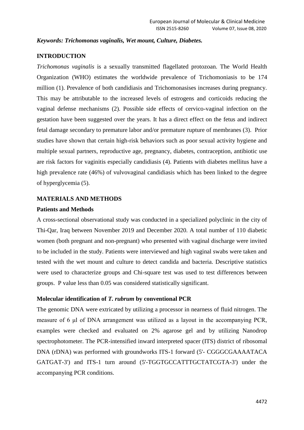### *Keywords: Trichomonas vaginalis, Wet mount, Culture, Diabetes.*

## **INTRODUCTION**

*Trichomonas vaginalis* is a sexually transmitted flagellated protozoan. The World Health Organization (WHO) estimates the worldwide prevalence of Trichomoniasis to be 174 million (1). Prevalence of both candidiasis and Trichomonasises increases during pregnancy. This may be attributable to the increased levels of estrogens and corticoids reducing the vaginal defense mechanisms (2). Possible side effects of cervico-vaginal infection on the gestation have been suggested over the years. It has a direct effect on the fetus and indirect fetal damage secondary to premature labor and/or premature rupture of membranes (3). Prior studies have shown that certain high-risk behaviors such as poor sexual activity hygiene and multiple sexual partners, reproductive age, pregnancy, diabetes, contraception, antibiotic use are risk factors for vaginitis especially candidiasis (4). Patients with diabetes mellitus have a high prevalence rate (46%) of vulvovaginal candidiasis which has been linked to the degree of hyperglycemia (5).

#### **MATERIALS AND METHODS**

#### **Patients and Methods**

A cross-sectional observational study was conducted in a specialized polyclinic in the city of Thi-Qar, Iraq between November 2019 and December 2020. A total number of 110 diabetic women (both pregnant and non-pregnant) who presented with vaginal discharge were invited to be included in the study. Patients were interviewed and high vaginal swabs were taken and tested with the wet mount and culture to detect candida and bacteria. Descriptive statistics were used to characterize groups and Chi-square test was used to test differences between groups. P value less than 0.05 was considered statistically significant.

## **Molecular identification of** *T. rubrum* **by conventional PCR**

The genomic DNA were extricated by utilizing a processor in nearness of fluid nitrogen. The measure of 6 μl of DNA arrangement was utilized as a layout in the accompanying PCR, examples were checked and evaluated on 2% agarose gel and by utilizing Nanodrop spectrophotometer. The PCR-intensified inward interpreted spacer (ITS) district of ribosomal DNA (rDNA) was performed with groundworks ITS-1 forward (5'- CGGGCGAAAATACA GATGAT-3') and ITS-1 turn around (5'-TGGTGCCATTTGCTATCGTA-3') under the accompanying PCR conditions.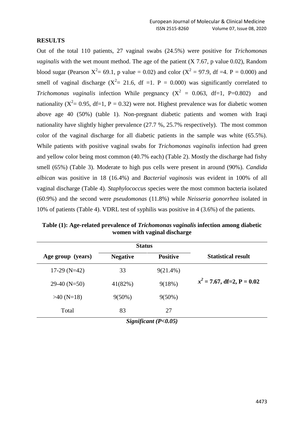### **RESULTS**

Out of the total 110 patients, 27 vaginal swabs (24.5%) were positive for *Trichomonas vaginalis* with the wet mount method. The age of the patient (X 7.67, p value 0.02), Random blood sugar (Pearson  $X^2 = 69.1$ , p value = 0.02) and color ( $X^2 = 97.9$ , df =4. P = 0.000) and smell of vaginal discharge ( $X^2 = 21.6$ , df =1. P = 0.000) was significantly correlated to *Trichomonas vaginalis* infection While pregnancy ( $X^2 = 0.063$ , df=1, P=0.802) and nationality ( $X^2 = 0.95$ , df=1, P = 0.32) were not. Highest prevalence was for diabetic women above age 40 (50%) (table 1). Non-pregnant diabetic patients and women with Iraqi nationality have slightly higher prevalence (27.7 %, 25.7% respectively). The most common color of the vaginal discharge for all diabetic patients in the sample was white (65.5%). While patients with positive vaginal swabs for *Trichomonas vaginalis* infection had green and yellow color being most common (40.7% each) (Table 2). Mostly the discharge had fishy smell (65%) (Table 3). Moderate to high pus cells were present in around (90%). *Candida albican* was positive in 18 (16.4%) and *Bacterial vaginosis* was evident in 100% of all vaginal discharge (Table 4). *Staphylococcus* species were the most common bacteria isolated (60.9%) and the second were *pseudomonas* (11.8%) while *Neisseria gonorrhea* isolated in 10% of patients (Table 4). VDRL test of syphilis was positive in 4 (3.6%) of the patients.

|                   | <b>Status</b>   |                 |                               |
|-------------------|-----------------|-----------------|-------------------------------|
| Age group (years) | <b>Negative</b> | <b>Positive</b> | <b>Statistical result</b>     |
| $17-29$ (N=42)    | 33              | $9(21.4\%)$     |                               |
| $29-40$ (N=50)    | 41(82%)         | 9(18%)          | $x^2 = 7.67$ , df=2, P = 0.02 |
| $>40$ (N=18)      | $9(50\%)$       | $9(50\%)$       |                               |
| Total             | 83              | 27              |                               |

**Table (1): Age-related prevalence of** *Trichomonas vaginalis* **infection among diabetic women with vaginal discharge**

*Significant (P<0.05)*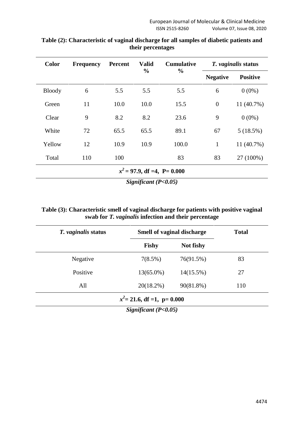| <b>Color</b>                                     | <b>Frequency</b> | <b>Percent</b> | <b>Valid</b><br>$\frac{0}{0}$ | <b>Cumulative</b><br>$\frac{0}{0}$ | T. vaginalis status |                 |
|--------------------------------------------------|------------------|----------------|-------------------------------|------------------------------------|---------------------|-----------------|
|                                                  |                  |                |                               |                                    | <b>Negative</b>     | <b>Positive</b> |
| <b>Bloody</b>                                    | 6                | 5.5            | 5.5                           | 5.5                                | 6                   | $0(0\%)$        |
| Green                                            | 11               | 10.0           | 10.0                          | 15.5                               | $\overline{0}$      | 11 (40.7%)      |
| Clear                                            | 9                | 8.2            | 8.2                           | 23.6                               | 9                   | $0(0\%)$        |
| White                                            | 72               | 65.5           | 65.5                          | 89.1                               | 67                  | 5(18.5%)        |
| Yellow                                           | 12               | 10.9           | 10.9                          | 100.0                              | $\mathbf{1}$        | 11 (40.7%)      |
| Total                                            | 110              | 100            |                               | 83                                 | 83                  | 27 (100%)       |
| $x^2 = 97.9$ , df =4, P= 0.000<br>$\cdot$ $\sim$ |                  |                |                               |                                    |                     |                 |

## **Table (2): Characteristic of vaginal discharge for all samples of diabetic patients and their percentages**

*Significant (P<0.05)*

# **Table (3): Characteristic smell of vaginal discharge for patients with positive vaginal swab for** *T. vaginalis* **infection and their percentage**

| T. vaginalis status           |              | Smell of vaginal discharge |     |  |
|-------------------------------|--------------|----------------------------|-----|--|
|                               | <b>Fishy</b> | Not fishy                  |     |  |
| Negative                      | 7(8.5%)      | 76(91.5%)                  | 83  |  |
| Positive                      | $13(65.0\%)$ | $14(15.5\%)$               | 27  |  |
| All                           | $20(18.2\%)$ | 90(81.8%)                  | 110 |  |
| $x^2$ = 21.6, df =1, p= 0.000 |              |                            |     |  |

*Significant (P<0.05)*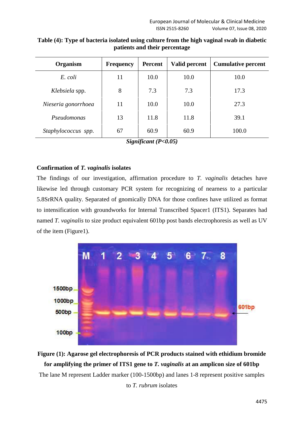| Organism            | <b>Frequency</b> | Percent | <b>Valid percent</b> | <b>Cumulative percent</b> |
|---------------------|------------------|---------|----------------------|---------------------------|
| E. coli             | 11               | 10.0    | 10.0                 | 10.0                      |
| Klebsiela spp.      | 8                | 7.3     | 7.3                  | 17.3                      |
| Nieseria gonorrhoea | 11               | 10.0    | 10.0                 | 27.3                      |
| Pseudomonas         | 13               | 11.8    | 11.8                 | 39.1                      |
| Staphylococcus spp. | 67               | 60.9    | 60.9                 | 100.0                     |

**Table (4): Type of bacteria isolated using culture from the high vaginal swab in diabetic patients and their percentage**

*Significant (P<0.05)*

# **Confirmation of** *T. vaginalis* **isolates**

The findings of our investigation, affirmation procedure to *T. vaginalis* detaches have likewise led through customary PCR system for recognizing of nearness to a particular 5.8SrRNA quality. Separated of gnomically DNA for those confines have utilized as format to intensification with groundworks for Internal Transcribed Spacer1 (ITS1). Separates had named *T. vaginalis* to size product equivalent 601bp post bands electrophoresis as well as UV of the item (Figure1).



**Figure (1): Agarose gel electrophoresis of PCR products stained with ethidium bromide for amplifying the primer of ITS1 gene to** *T. vaginalis* **at an amplicon size of 601bp** The lane M represent Ladder marker (100-1500bp) and lanes 1-8 represent positive samples to *T. rubrum* isolates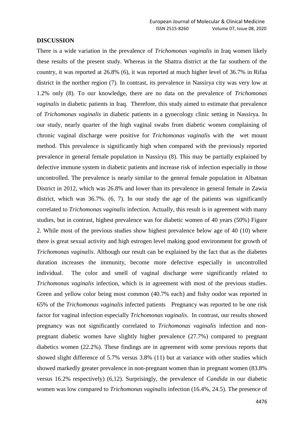#### **DISCUSSION**

There is a wide variation in the prevalence of *Trichomonas vaginalis* in Iraq women likely these results of the present study. Whereas in the Shattra district at the far southern of the country, it was reported at 26.8% (6), it was reported at much higher level of 36.7% in Rifaa district in the norther region (7). In contrast, its prevalence in Nassirya city was very low at 1.2% only (8). To our knowledge, there are no data on the prevalence of *Trichomonas vaginalis* in diabetic patients in Iraq. Therefore, this study aimed to estimate that prevalence of *Trichomonas vaginalis* in diabetic patients in a gynecology clinic setting in Nassirya. In our study, nearly quarter of the high vaginal swabs from diabetic women complaining of chronic vaginal discharge were positive for *Trichomonas vaginalis* with the wet mount method. This prevalence is significantly high when compared with the previously reported prevalence in general female population in Nassirya (8). This may be partially explained by defective immune system in diabetic patients and increase risk of infection especially in those uncontrolled. The prevalence is nearly similar to the general female population in Albatnan District in 2012, which was 26.8% and lower than its prevalence in general female in Zawia district, which was 36.7%. (6, 7). In our study the age of the patients was significantly correlated to *Trichomonas vaginalis* infection. Actually, this result is in agreement with many studies, but in contrast, highest prevalence was for diabetic women of 40 years (50%) Figure 2. While most of the previous studies show highest prevalence below age of 40 (10) where there is great sexual activity and high estrogen level making good environment for growth of *Trichomonas vaginalis*. Although our result can be explained by the fact that as the diabetes duration increases the immunity, become more defective especially in uncontrolled individual. The color and smell of vaginal discharge were significantly related to *Trichomonas vaginalis* infection, which is in agreement with most of the previous studies. Green and yellow color being most common (40.7% each) and fishy oodor was reported in 65% of the *Trichomonas vaginalis* infected patients Pregnancy was reported to be one risk factor for vaginal infection especially *Trichomonas vaginalis*. In contrast, our results showed pregnancy was not significantly correlated to *Trichomonas vaginalis* infection and nonpregnant diabetic women have slightly higher prevalence (27.7%) compared to pregnant diabetics women (22.2%). These findings are in agreement with some previous reports that showed slight difference of 5.7% versus 3.8% (11) but at variance with other studies which showed markedly greater prevalence in non-pregnant women than in pregnant women (83.8% versus 16.2% respectively) (6,12). Surprisingly, the prevalence of *Candida* in our diabetic women was low compared to *Trichomonas vaginalis* infection (16.4%, 24.5). The presence of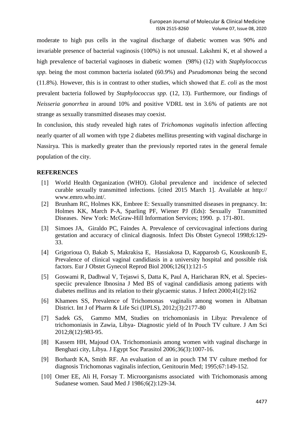moderate to high pus cells in the vaginal discharge of diabetic women was 90% and invariable presence of bacterial vaginosis (100%) is not unusual. Lakshmi K, et al showed a high prevalence of bacterial vaginoses in diabetic women (98%) (12) with *Staphylococcus spp.* being the most common bacteria isolated (60.9%) and *Pseudomonas* being the second (11.8%). However, this is in contrast to other studies, which showed that *E. coli* as the most prevalent bacteria followed by *Staphylococcus spp.* (12, 13). Furthermore, our findings of *Neisseria gonorrhea* in around 10% and positive VDRL test in 3.6% of patients are not strange as sexually transmitted diseases may coexist.

In conclusion, this study revealed high rates of *Trichomonas vaginalis* infection affecting nearly quarter of all women with type 2 diabetes mellitus presenting with vaginal discharge in Nassirya. This is markedly greater than the previously reported rates in the general female population of the city.

## **REFERENCES**

- [1] World Health Organization (WHO). Global prevalence and incidence of selected curable sexually transmitted infections. [cited 2015 March 1]. Available at http:// www.emro.who.int/.
- [2] Brunham RC, Holmes KK, Embree E: Sexually transmitted diseases in pregnancy. In: Holmes KK, March P-A, Sparling PF, Wiener PJ (Eds): Sexually Transmitted Diseases. New York: McGraw-Hill Information Services; 1990. p. 171-801.
- [3] Simoes JA, Giraldo PC, Faindes A. Prevalence of cervicovaginal infections during gestation and accuracy of clinical diagnosis. Infect Dis Obstet Gynecol 1998;6:129- 33.
- [4] Grigorioua O, Bakab S, Makrakisa E, Hassiakosa D, Kapparosb G, Kouskounib E, Prevalence of clinical vaginal candidiasis in a university hospital and possible risk factors. Eur J Obstet Gynecol Reprod Biol 2006;126(1):121-5
- [5] Goswami R, Dadhwal V, Tejaswi S, Datta K, Paul A, Haricharan RN, et al. Speciesspeciic prevalence Ibnosina J Med BS of vaginal candidiasis among patients with diabetes mellitus and its relation to their glycaemic status. J Infect 2000;41(2):162
- [6] Khamees SS, Prevalence of Trichomonas vaginalis among women in Albatnan District. Int J of Pharm & Life Sci (IJPLS), 2012;(3):2177-80
- [7] Sadek GS, Gammo MM, Studies on trichomoniasis in Libya: Prevalence of trichomoniasis in Zawia, Libya- Diagnostic yield of In Pouch TV culture. J Am Sci 2012;8(12):983-95.
- [8] Kassem HH, Majoud OA. Trichomoniasis among women with vaginal discharge in Benghazi city, Libya. J Egypt Soc Parasitol 2006;36(3):1007-16.
- [9] Borhardt KA, Smith RF. An evaluation of an in pouch TM TV culture method for diagnosis Trichomonas vaginalis infection, Genitourin Med; 1995;67:149-152.
- [10] Omer EE, Ali H, Forsay T. Microorganisms associated with Trichomonasis among Sudanese women. Saud Med J 1986;6(2):129-34.